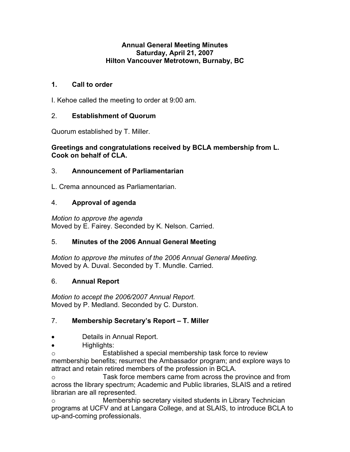#### **Annual General Meeting Minutes Saturday, April 21, 2007 Hilton Vancouver Metrotown, Burnaby, BC**

## **1. Call to order**

I. Kehoe called the meeting to order at 9:00 am.

## 2. **Establishment of Quorum**

Quorum established by T. Miller.

### **Greetings and congratulations received by BCLA membership from L. Cook on behalf of CLA.**

## 3. **Announcement of Parliamentarian**

L. Crema announced as Parliamentarian.

## 4. **Approval of agenda**

*Motion to approve the agenda*  Moved by E. Fairey. Seconded by K. Nelson. Carried.

# 5. **Minutes of the 2006 Annual General Meeting**

*Motion to approve the minutes of the 2006 Annual General Meeting.*  Moved by A. Duval. Seconded by T. Mundle. Carried.

# 6. **Annual Report**

*Motion to accept the 2006/2007 Annual Report.*  Moved by P. Medland. Seconded by C. Durston.

# 7. **Membership Secretary's Report – T. Miller**

- Details in Annual Report.
- Highlights:

o Established a special membership task force to review membership benefits; resurrect the Ambassador program; and explore ways to attract and retain retired members of the profession in BCLA.

o Task force members came from across the province and from across the library spectrum; Academic and Public libraries, SLAIS and a retired librarian are all represented.

o Membership secretary visited students in Library Technician programs at UCFV and at Langara College, and at SLAIS, to introduce BCLA to up-and-coming professionals.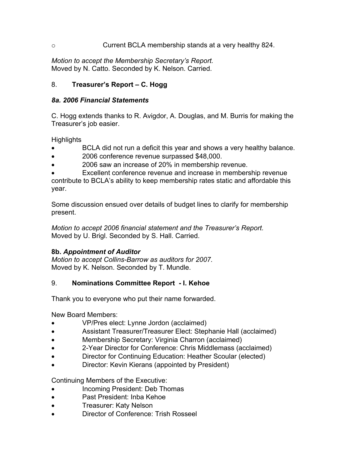### o Current BCLA membership stands at a very healthy 824.

*Motion to accept the Membership Secretary's Report.*  Moved by N. Catto. Seconded by K. Nelson. Carried.

### 8. **Treasurer's Report – C. Hogg**

#### *8a. 2006 Financial Statements*

C. Hogg extends thanks to R. Avigdor, A. Douglas, and M. Burris for making the Treasurer's job easier.

Highlights

- BCLA did not run a deficit this year and shows a very healthy balance.
- 2006 conference revenue surpassed \$48,000.
- 2006 saw an increase of 20% in membership revenue.

Excellent conference revenue and increase in membership revenue contribute to BCLA's ability to keep membership rates static and affordable this year.

Some discussion ensued over details of budget lines to clarify for membership present.

*Motion to accept 2006 financial statement and the Treasurer's Report.* Moved by U. Brigl. Seconded by S. Hall. Carried.

### **8b.** *Appointment of Auditor*

*Motion to accept Collins-Barrow as auditors for 2007.*  Moved by K. Nelson. Seconded by T. Mundle.

### 9. **Nominations Committee Report - I. Kehoe**

Thank you to everyone who put their name forwarded.

New Board Members:

- VP/Pres elect: Lynne Jordon (acclaimed)
- Assistant Treasurer/Treasurer Elect: Stephanie Hall (acclaimed)
- Membership Secretary: Virginia Charron (acclaimed)
- 2-Year Director for Conference: Chris Middlemass (acclaimed)
- Director for Continuing Education: Heather Scoular (elected)
- Director: Kevin Kierans (appointed by President)

Continuing Members of the Executive:

- Incoming President: Deb Thomas
- Past President: Inba Kehoe
- Treasurer: Katy Nelson
- Director of Conference: Trish Rosseel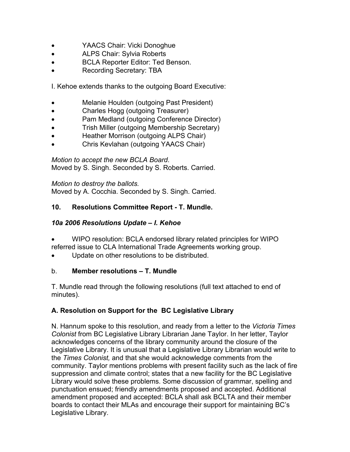- YAACS Chair: Vicki Donoghue
- ALPS Chair: Sylvia Roberts
- BCLA Reporter Editor: Ted Benson.
- Recording Secretary: TBA

I. Kehoe extends thanks to the outgoing Board Executive:

- Melanie Houlden (outgoing Past President)
- Charles Hogg (outgoing Treasurer)
- Pam Medland (outgoing Conference Director)
- Trish Miller (outgoing Membership Secretary)
- Heather Morrison (outgoing ALPS Chair)
- Chris Kevlahan (outgoing YAACS Chair)

*Motion to accept the new BCLA Board*. Moved by S. Singh. Seconded by S. Roberts. Carried.

*Motion to destroy the ballots.*  Moved by A. Cocchia. Seconded by S. Singh. Carried.

# **10. Resolutions Committee Report - T. Mundle.**

## *10a 2006 Resolutions Update – I. Kehoe*

- WIPO resolution: BCLA endorsed library related principles for WIPO referred issue to CLA International Trade Agreements working group.
- Update on other resolutions to be distributed.

### b. **Member resolutions – T. Mundle**

T. Mundle read through the following resolutions (full text attached to end of minutes).

# **A. Resolution on Support for the BC Legislative Library**

N. Hannum spoke to this resolution, and ready from a letter to the *Victoria Times Colonist* from BC Legislative Library Librarian Jane Taylor. In her letter, Taylor acknowledges concerns of the library community around the closure of the Legislative Library. It is unusual that a Legislative Library Librarian would write to the *Times Colonist,* and that she would acknowledge comments from the community. Taylor mentions problems with present facility such as the lack of fire suppression and climate control; states that a new facility for the BC Legislative Library would solve these problems. Some discussion of grammar, spelling and punctuation ensued; friendly amendments proposed and accepted. Additional amendment proposed and accepted: BCLA shall ask BCLTA and their member boards to contact their MLAs and encourage their support for maintaining BC's Legislative Library.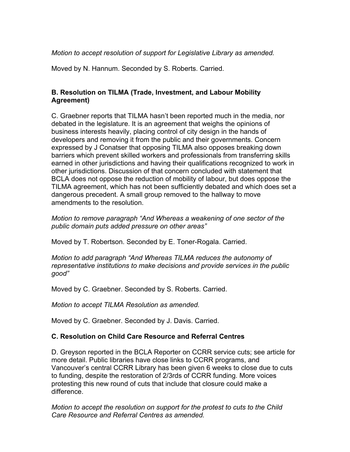### *Motion to accept resolution of support for Legislative Library as amended.*

Moved by N. Hannum. Seconded by S. Roberts. Carried.

### **B. Resolution on TILMA (Trade, Investment, and Labour Mobility Agreement)**

C. Graebner reports that TILMA hasn't been reported much in the media, nor debated in the legislature. It is an agreement that weighs the opinions of business interests heavily, placing control of city design in the hands of developers and removing it from the public and their governments. Concern expressed by J Conatser that opposing TILMA also opposes breaking down barriers which prevent skilled workers and professionals from transferring skills earned in other jurisdictions and having their qualifications recognized to work in other jurisdictions. Discussion of that concern concluded with statement that BCLA does not oppose the reduction of mobility of labour, but does oppose the TILMA agreement, which has not been sufficiently debated and which does set a dangerous precedent. A small group removed to the hallway to move amendments to the resolution.

*Motion to remove paragraph "And Whereas a weakening of one sector of the public domain puts added pressure on other areas"* 

Moved by T. Robertson. Seconded by E. Toner-Rogala. Carried.

*Motion to add paragraph "And Whereas TILMA reduces the autonomy of representative institutions to make decisions and provide services in the public good"* 

Moved by C. Graebner. Seconded by S. Roberts. Carried.

*Motion to accept TILMA Resolution as amended.* 

Moved by C. Graebner. Seconded by J. Davis. Carried.

#### **C. Resolution on Child Care Resource and Referral Centres**

D. Greyson reported in the BCLA Reporter on CCRR service cuts; see article for more detail. Public libraries have close links to CCRR programs, and Vancouver's central CCRR Library has been given 6 weeks to close due to cuts to funding, despite the restoration of 2/3rds of CCRR funding. More voices protesting this new round of cuts that include that closure could make a difference.

*Motion to accept the resolution on support for the protest to cuts to the Child Care Resource and Referral Centres as amended.*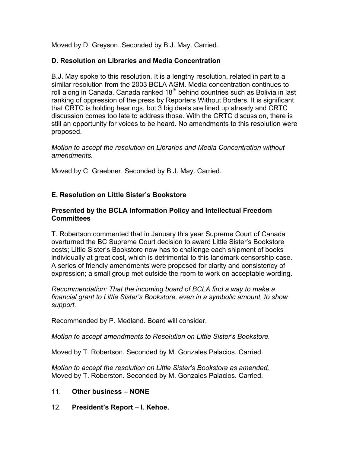Moved by D. Greyson. Seconded by B.J. May. Carried.

### **D. Resolution on Libraries and Media Concentration**

B.J. May spoke to this resolution. It is a lengthy resolution, related in part to a similar resolution from the 2003 BCLA AGM. Media concentration continues to roll along in Canada. Canada ranked  $18<sup>th</sup>$  behind countries such as Bolivia in last ranking of oppression of the press by Reporters Without Borders. It is significant that CRTC is holding hearings, but 3 big deals are lined up already and CRTC discussion comes too late to address those. With the CRTC discussion, there is still an opportunity for voices to be heard. No amendments to this resolution were proposed.

*Motion to accept the resolution on Libraries and Media Concentration without amendments.* 

Moved by C. Graebner. Seconded by B.J. May. Carried.

# **E. Resolution on Little Sister's Bookstore**

### **Presented by the BCLA Information Policy and Intellectual Freedom Committees**

T. Robertson commented that in January this year Supreme Court of Canada overturned the BC Supreme Court decision to award Little Sister's Bookstore costs; Little Sister's Bookstore now has to challenge each shipment of books individually at great cost, which is detrimental to this landmark censorship case. A series of friendly amendments were proposed for clarity and consistency of expression; a small group met outside the room to work on acceptable wording.

*Recommendation: That the incoming board of BCLA find a way to make a financial grant to Little Sister's Bookstore, even in a symbolic amount, to show support.* 

Recommended by P. Medland. Board will consider.

*Motion to accept amendments to Resolution on Little Sister's Bookstore.* 

Moved by T. Robertson. Seconded by M. Gonzales Palacios. Carried.

*Motion to accept the resolution on Little Sister's Bookstore as amended.*  Moved by T. Roberston. Seconded by M. Gonzales Palacios. Carried.

### 11. **Other business – NONE**

12. **President's Report** – **I. Kehoe.**